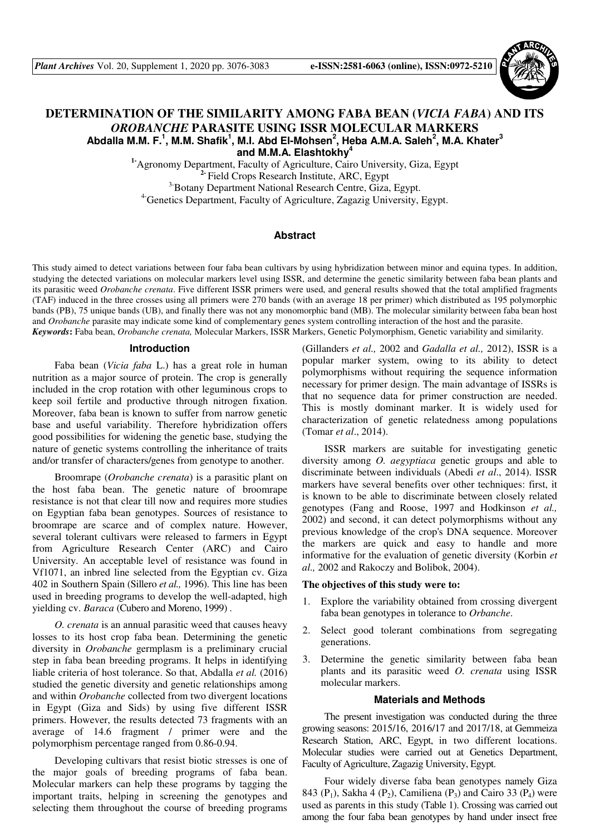

# **DETERMINATION OF THE SIMILARITY AMONG FABA BEAN (***VICIA FABA***) AND ITS**  *OROBANCHE* **PARASITE USING ISSR MOLECULAR MARKERS Abdalla M.M. F.<sup>1</sup> , M.M. Shafik<sup>1</sup> , M.I. Abd El-Mohsen<sup>2</sup> , Heba A.M.A. Saleh<sup>2</sup> , M.A. Khater<sup>3</sup> and M.M.A. Elashtokhy<sup>4</sup>**

**1-**Agronomy Department, Faculty of Agriculture, Cairo University, Giza, Egypt **2-** Field Crops Research Institute, ARC, Egypt <sup>3-</sup>Botany Department National Research Centre, Giza, Egypt. <sup>4-</sup>Genetics Department, Faculty of Agriculture, Zagazig University, Egypt.

## **Abstract**

This study aimed to detect variations between four faba bean cultivars by using hybridization between minor and equina types. In addition, studying the detected variations on molecular markers level using ISSR, and determine the genetic similarity between faba bean plants and its parasitic weed *Orobanche crenata*. Five different ISSR primers were used, and general results showed that the total amplified fragments (TAF) induced in the three crosses using all primers were 270 bands (with an average 18 per primer) which distributed as 195 polymorphic bands (PB), 75 unique bands (UB), and finally there was not any monomorphic band (MB). The molecular similarity between faba bean host and *Orobanche* parasite may indicate some kind of complementary genes system controlling interaction of the host and the parasite. *Keywords***:** Faba bean, *Orobanche crenata,* Molecular Markers, ISSR Markers, Genetic Polymorphism, Genetic variability and similarity.

## **Introduction**

Faba bean (*Vicia faba* L.) has a great role in human nutrition as a major source of protein. The crop is generally included in the crop rotation with other leguminous crops to keep soil fertile and productive through nitrogen fixation. Moreover, faba bean is known to suffer from narrow genetic base and useful variability. Therefore hybridization offers good possibilities for widening the genetic base, studying the nature of genetic systems controlling the inheritance of traits and/or transfer of characters/genes from genotype to another.

Broomrape (*Orobanche crenata*) is a parasitic plant on the host faba bean. The genetic nature of broomrape resistance is not that clear till now and requires more studies on Egyptian faba bean genotypes. Sources of resistance to broomrape are scarce and of complex nature. However, several tolerant cultivars were released to farmers in Egypt from Agriculture Research Center (ARC) and Cairo University. An acceptable level of resistance was found in Vf1071, an inbred line selected from the Egyptian cv. Giza 402 in Southern Spain (Sillero *et al.,* 1996). This line has been used in breeding programs to develop the well-adapted, high yielding cv. *Baraca* (Cubero and Moreno, 1999) .

*O. crenata* is an annual parasitic weed that causes heavy losses to its host crop faba bean. Determining the genetic diversity in *Orobanche* germplasm is a preliminary crucial step in faba bean breeding programs. It helps in identifying liable criteria of host tolerance. So that, Abdalla *et al.* (2016) studied the genetic diversity and genetic relationships among and within *Orobanche* collected from two divergent locations in Egypt (Giza and Sids) by using five different ISSR primers. However, the results detected 73 fragments with an average of 14.6 fragment / primer were and the polymorphism percentage ranged from 0.86-0.94.

Developing cultivars that resist biotic stresses is one of the major goals of breeding programs of faba bean. Molecular markers can help these programs by tagging the important traits, helping in screening the genotypes and selecting them throughout the course of breeding programs

(Gillanders *et al.,* 2002 and *Gadalla et al.,* 2012), ISSR is a popular marker system, owing to its ability to detect polymorphisms without requiring the sequence information necessary for primer design. The main advantage of ISSRs is that no sequence data for primer construction are needed. This is mostly dominant marker. It is widely used for characterization of genetic relatedness among populations (Tomar *et al*., 2014).

ISSR markers are suitable for investigating genetic diversity among *O. aegyptiaca* genetic groups and able to discriminate between individuals (Abedi *et al*., 2014). ISSR markers have several benefits over other techniques: first, it is known to be able to discriminate between closely related genotypes (Fang and Roose, 1997 and Hodkinson *et al.,* 2002) and second, it can detect polymorphisms without any previous knowledge of the crop's DNA sequence. Moreover the markers are quick and easy to handle and more informative for the evaluation of genetic diversity (Korbin *et al.,* 2002 and Rakoczy and Bolibok, 2004).

#### **The objectives of this study were to:**

- 1. Explore the variability obtained from crossing divergent faba bean genotypes in tolerance to *Orbanche*.
- 2. Select good tolerant combinations from segregating generations.
- 3. Determine the genetic similarity between faba bean plants and its parasitic weed *O. crenata* using ISSR molecular markers.

# **Materials and Methods**

The present investigation was conducted during the three growing seasons: 2015/16, 2016/17 and 2017/18, at Gemmeiza Research Station, ARC, Egypt, in two different locations. Molecular studies were carried out at Genetics Department, Faculty of Agriculture, Zagazig University, Egypt.

Four widely diverse faba bean genotypes namely Giza 843 (P<sub>1</sub>), Sakha 4 (P<sub>2</sub>), Camiliena (P<sub>3</sub>) and Cairo 33 (P<sub>4</sub>) were used as parents in this study (Table 1). Crossing was carried out among the four faba bean genotypes by hand under insect free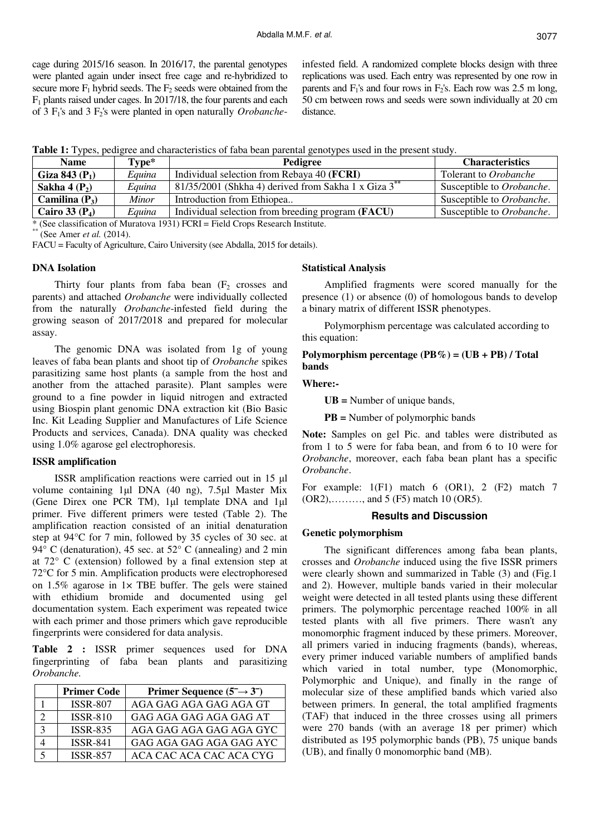cage during 2015/16 season. In 2016/17, the parental genotypes were planted again under insect free cage and re-hybridized to secure more  $F_1$  hybrid seeds. The  $F_2$  seeds were obtained from the F1 plants raised under cages. In 2017/18, the four parents and each of 3 F1's and 3 F2's were planted in open naturally *Orobanche*- infested field. A randomized complete blocks design with three replications was used. Each entry was represented by one row in parents and  $F_1$ 's and four rows in  $F_2$ 's. Each row was 2.5 m long, 50 cm between rows and seeds were sown individually at 20 cm distance.

**Table 1:** Types, pedigree and characteristics of faba bean parental genotypes used in the present study.

| <b>Name</b>        | Type*  | Pedigree                                                                                        | <b>Characteristics</b>    |
|--------------------|--------|-------------------------------------------------------------------------------------------------|---------------------------|
| Giza 843 ( $P_1$ ) | Eauina | Individual selection from Rebaya 40 ( <b>FCRI</b> )                                             | Tolerant to Orobanche     |
| Sakha 4 $(P_2)$    | Equina | 81/35/2001 (Shkha 4) derived from Sakha 1 x $\overline{G}$ iza 3 <sup>**</sup>                  | Susceptible to Orobanche. |
| Camilina $(P_3)$   | Minor  | Introduction from Ethiopea                                                                      | Susceptible to Orobanche. |
| Cairo 33 $(P_4)$   | Eauina | Individual selection from breeding program (FACU)                                               | Susceptible to Orobanche. |
|                    |        | $*(\mathcal{C}_{QQ})$ described to of Muratove 1021) $ECDI - E_{Q}$ dd Crope Desearch Institute |                           |

\* (See classification of Muratova 1931) FCRI = Field Crops Research Institute.

(See Amer *et al.* (2014).

FACU = Faculty of Agriculture, Cairo University (see Abdalla, 2015 for details).

# **DNA Isolation**

Thirty four plants from faba bean  $(F_2 \text{ crosses and})$ parents) and attached *Orobanche* were individually collected from the naturally *Orobanche*-infested field during the growing season of 2017/2018 and prepared for molecular assay.

The genomic DNA was isolated from 1g of young leaves of faba bean plants and shoot tip of *Orobanche* spikes parasitizing same host plants (a sample from the host and another from the attached parasite). Plant samples were ground to a fine powder in liquid nitrogen and extracted using Biospin plant genomic DNA extraction kit (Bio Basic Inc. Kit Leading Supplier and Manufactures of Life Science Products and services, Canada). DNA quality was checked using 1.0% agarose gel electrophoresis.

# **ISSR amplification**

ISSR amplification reactions were carried out in 15 µl volume containing 1µl DNA (40 ng), 7.5µl Master Mix (Gene Direx one PCR TM), 1µl template DNA and 1µl primer. Five different primers were tested (Table 2). The amplification reaction consisted of an initial denaturation step at 94°C for 7 min, followed by 35 cycles of 30 sec. at 94° C (denaturation), 45 sec. at 52° C (annealing) and 2 min at 72° C (extension) followed by a final extension step at 72°C for 5 min. Amplification products were electrophoresed on  $1.5\%$  agarose in  $1 \times$  TBE buffer. The gels were stained with ethidium bromide and documented using gel documentation system. Each experiment was repeated twice with each primer and those primers which gave reproducible fingerprints were considered for data analysis.

**Table 2 :** ISSR primer sequences used for DNA fingerprinting of faba bean plants and parasitizing *Orobanche.* 

| <b>Primer Code</b> | Primer Sequence $(5 \rightarrow 3)$ |
|--------------------|-------------------------------------|
| <b>ISSR-807</b>    | AGA GAG AGA GAG AGA GT              |
| <b>ISSR-810</b>    | GAG AGA GAG AGA GAG AT              |
| <b>ISSR-835</b>    | AGA GAG AGA GAG AGA GYC             |
| <b>ISSR-841</b>    | GAG AGA GAG AGA GAG AYC             |
| <b>ISSR-857</b>    | ACA CAC ACA CAC ACA CYG             |

#### **Statistical Analysis**

Amplified fragments were scored manually for the presence (1) or absence (0) of homologous bands to develop a binary matrix of different ISSR phenotypes.

Polymorphism percentage was calculated according to this equation:

**Polymorphism percentage (PB%) = (UB + PB) / Total bands** 

# **Where:-**

**UB =** Number of unique bands,

**PB =** Number of polymorphic bands

**Note:** Samples on gel Pic. and tables were distributed as from 1 to 5 were for faba bean, and from 6 to 10 were for *Orobanche*, moreover, each faba bean plant has a specific *Orobanche*.

For example:  $1(F1)$  match 6 (OR1), 2 (F2) match 7 (OR2),………, and 5 (F5) match 10 (OR5).

#### **Results and Discussion**

#### **Genetic polymorphism**

The significant differences among faba bean plants, crosses and *Orobanche* induced using the five ISSR primers were clearly shown and summarized in Table (3) and (Fig.1 and 2). However, multiple bands varied in their molecular weight were detected in all tested plants using these different primers. The polymorphic percentage reached 100% in all tested plants with all five primers. There wasn't any monomorphic fragment induced by these primers. Moreover, all primers varied in inducing fragments (bands), whereas, every primer induced variable numbers of amplified bands which varied in total number, type (Monomorphic, Polymorphic and Unique), and finally in the range of molecular size of these amplified bands which varied also between primers. In general, the total amplified fragments (TAF) that induced in the three crosses using all primers were 270 bands (with an average 18 per primer) which distributed as 195 polymorphic bands (PB), 75 unique bands (UB), and finally 0 monomorphic band (MB).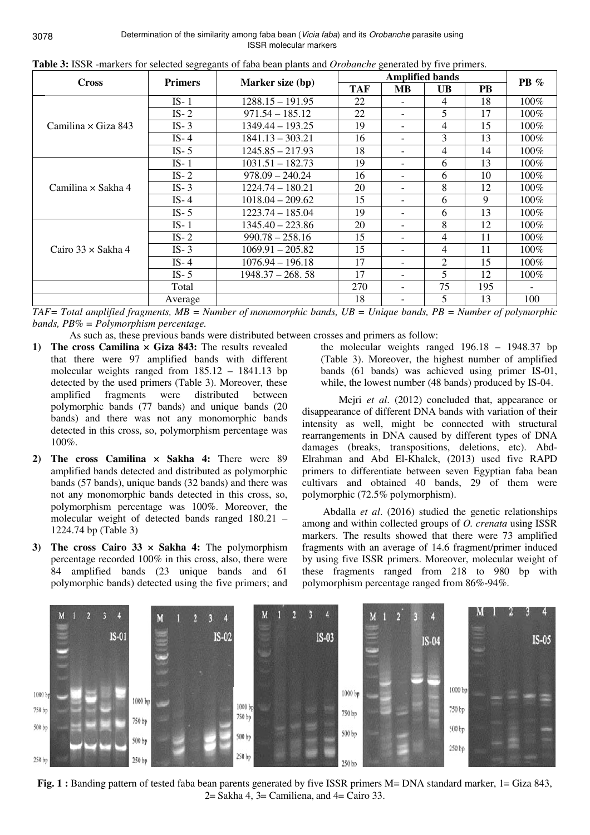Determination of the similarity among faba bean (*Vicia faba*) and its *Orobanche* parasite using ISSR molecular markers

| <b>Cross</b>               | $\circ$ $\circ$<br><b>Primers</b> | Marker size (bp)   |            | $PB \%$                  |    |     |         |
|----------------------------|-----------------------------------|--------------------|------------|--------------------------|----|-----|---------|
|                            |                                   |                    | <b>TAF</b> | <b>MB</b>                | UB | PB  |         |
|                            | $IS-1$                            | $1288.15 - 191.95$ | 22         |                          | 4  | 18  | $100\%$ |
|                            | $IS-2$                            | $971.54 - 185.12$  | 22         |                          | 5  | 17  | 100%    |
| Camilina $\times$ Giza 843 | $IS-3$                            | $1349.44 - 193.25$ | 19         |                          | 4  | 15  | 100%    |
|                            | $IS-4$                            | $1841.13 - 303.21$ | 16         |                          | 3  | 13  | 100%    |
|                            | $IS-5$                            | $1245.85 - 217.93$ | 18         |                          | 4  | 14  | 100%    |
|                            | $IS-1$                            | $1031.51 - 182.73$ | 19         |                          | 6  | 13  | $100\%$ |
|                            | $IS-2$                            | $978.09 - 240.24$  | 16         |                          | 6  | 10  | $100\%$ |
| Camilina $\times$ Sakha 4  | $IS-3$                            | 1224.74 - 180.21   | 20         |                          | 8  | 12  | $100\%$ |
|                            | IS- $4$                           | $1018.04 - 209.62$ | 15         |                          | 6  | 9   | $100\%$ |
|                            | $IS-5$                            | 1223.74 - 185.04   | 19         |                          | 6  | 13  | 100%    |
|                            | $IS-1$                            | $1345.40 - 223.86$ | 20         |                          | 8  | 12  | 100%    |
|                            | $IS-2$                            | $990.78 - 258.16$  | 15         |                          | 4  | 11  | $100\%$ |
| Cairo $33 \times$ Sakha 4  | $IS-3$                            | $1069.91 - 205.82$ | 15         |                          | 4  | 11  | $100\%$ |
|                            | IS-4                              | $1076.94 - 196.18$ | 17         | $\overline{\phantom{a}}$ | 2  | 15  | $100\%$ |
|                            | $IS-5$                            | $1948.37 - 268.58$ | 17         | $\overline{\phantom{0}}$ | 5  | 12  | $100\%$ |
|                            | Total                             |                    | 270        |                          | 75 | 195 |         |
|                            | Average                           |                    | 18         |                          | 5  | 13  | 100     |

**Table 3:** ISSR -markers for selected segregants of faba bean plants and *Orobanche* generated by five primers.

*TAF= Total amplified fragments, MB = Number of monomorphic bands, UB = Unique bands, PB = Number of polymorphic bands, PB% = Polymorphism percentage.* 

As such as, these previous bands were distributed between crosses and primers as follow:

- **1) The cross Camilina × Giza 843:** The results revealed that there were 97 amplified bands with different molecular weights ranged from 185.12 – 1841.13 bp detected by the used primers (Table 3). Moreover, these amplified fragments were distributed between polymorphic bands (77 bands) and unique bands (20 bands) and there was not any monomorphic bands detected in this cross, so, polymorphism percentage was 100%.
- **2) The cross Camilina × Sakha 4:** There were 89 amplified bands detected and distributed as polymorphic bands (57 bands), unique bands (32 bands) and there was not any monomorphic bands detected in this cross, so, polymorphism percentage was 100%. Moreover, the molecular weight of detected bands ranged 180.21 – 1224.74 bp (Table 3)
- **3) The cross Cairo 33 × Sakha 4:** The polymorphism percentage recorded 100% in this cross, also, there were 84 amplified bands (23 unique bands and 61 polymorphic bands) detected using the five primers; and

the molecular weights ranged 196.18 – 1948.37 bp (Table 3). Moreover, the highest number of amplified bands (61 bands) was achieved using primer IS-01, while, the lowest number (48 bands) produced by IS-04.

Mejri *et al*. (2012) concluded that, appearance or disappearance of different DNA bands with variation of their intensity as well, might be connected with structural rearrangements in DNA caused by different types of DNA damages (breaks, transpositions, deletions, etc). Abd-Elrahman and Abd El-Khalek, (2013) used five RAPD primers to differentiate between seven Egyptian faba bean cultivars and obtained 40 bands, 29 of them were polymorphic (72.5% polymorphism).

 Abdalla *et al*. (2016) studied the genetic relationships among and within collected groups of *O. crenata* using ISSR markers. The results showed that there were 73 amplified fragments with an average of 14.6 fragment/primer induced by using five ISSR primers. Moreover, molecular weight of these fragments ranged from 218 to 980 bp with polymorphism percentage ranged from 86%-94%.



**Fig. 1 :** Banding pattern of tested faba bean parents generated by five ISSR primers M= DNA standard marker, 1= Giza 843,  $2=$  Sakha 4, 3 = Camiliena, and 4 = Cairo 33.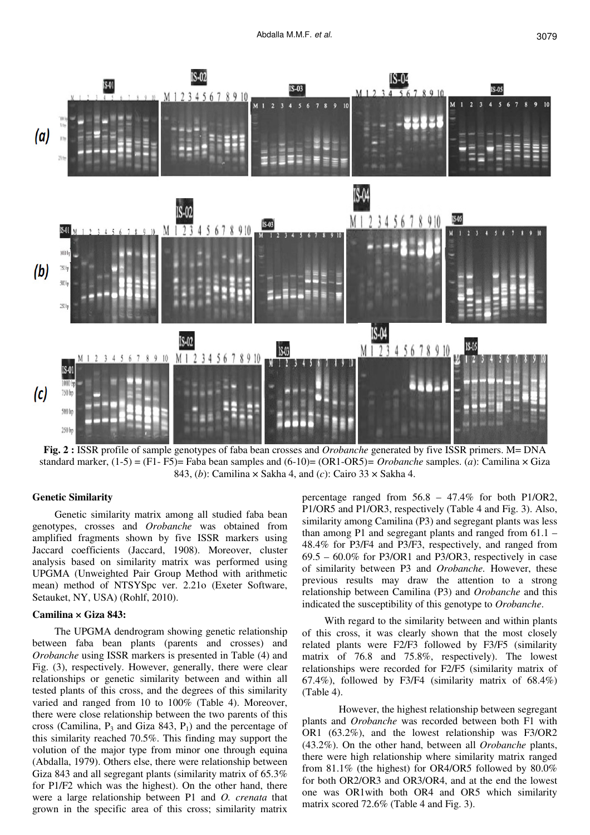

**Fig. 2 :** ISSR profile of sample genotypes of faba bean crosses and *Orobanche* generated by five ISSR primers. M= DNA standard marker, (1-5) = (F1- F5)= Faba bean samples and (6-10)= (OR1-OR5)*= Orobanche* samples. (*a*): Camilina × Giza 843, (*b*): Camilina × Sakha 4, and (*c*): Cairo 33 × Sakha 4.

### **Genetic Similarity**

Genetic similarity matrix among all studied faba bean genotypes, crosses and *Orobanche* was obtained from amplified fragments shown by five ISSR markers using Jaccard coefficients (Jaccard, 1908). Moreover, cluster analysis based on similarity matrix was performed using UPGMA (Unweighted Pair Group Method with arithmetic mean) method of NTSYSpc ver. 2.21o (Exeter Software, Setauket, NY, USA) (Rohlf, 2010).

### **Camilina × Giza 843:**

The UPGMA dendrogram showing genetic relationship between faba bean plants (parents and crosses) and *Orobanche* using ISSR markers is presented in Table (4) and Fig. (3), respectively. However, generally, there were clear relationships or genetic similarity between and within all tested plants of this cross, and the degrees of this similarity varied and ranged from 10 to 100% (Table 4). Moreover, there were close relationship between the two parents of this cross (Camilina,  $P_3$  and Giza 843,  $P_1$ ) and the percentage of this similarity reached 70.5%. This finding may support the volution of the major type from minor one through equina (Abdalla, 1979). Others else, there were relationship between Giza 843 and all segregant plants (similarity matrix of 65.3% for P1/F2 which was the highest). On the other hand, there were a large relationship between P1 and *O. crenata* that grown in the specific area of this cross; similarity matrix

percentage ranged from 56.8 – 47.4% for both P1/OR2, P1/OR5 and P1/OR3, respectively (Table 4 and Fig. 3). Also, similarity among Camilina (P3) and segregant plants was less than among P1 and segregant plants and ranged from 61.1 – 48.4% for P3/F4 and P3/F3, respectively, and ranged from 69.5 – 60.0% for P3/OR1 and P3/OR3, respectively in case of similarity between P3 and *Orobanche.* However, these previous results may draw the attention to a strong relationship between Camilina (P3) and *Orobanche* and this indicated the susceptibility of this genotype to *Orobanche*.

With regard to the similarity between and within plants of this cross, it was clearly shown that the most closely related plants were F2/F3 followed by F3/F5 (similarity matrix of 76.8 and 75.8%, respectively). The lowest relationships were recorded for F2/F5 (similarity matrix of 67.4%), followed by F3/F4 (similarity matrix of 68.4%) (Table 4).

 However, the highest relationship between segregant plants and *Orobanche* was recorded between both F1 with OR1 (63.2%), and the lowest relationship was F3/OR2 (43.2%). On the other hand, between all *Orobanche* plants, there were high relationship where similarity matrix ranged from 81.1% (the highest) for OR4/OR5 followed by 80.0% for both OR2/OR3 and OR3/OR4, and at the end the lowest one was OR1with both OR4 and OR5 which similarity matrix scored 72.6% (Table 4 and Fig. 3).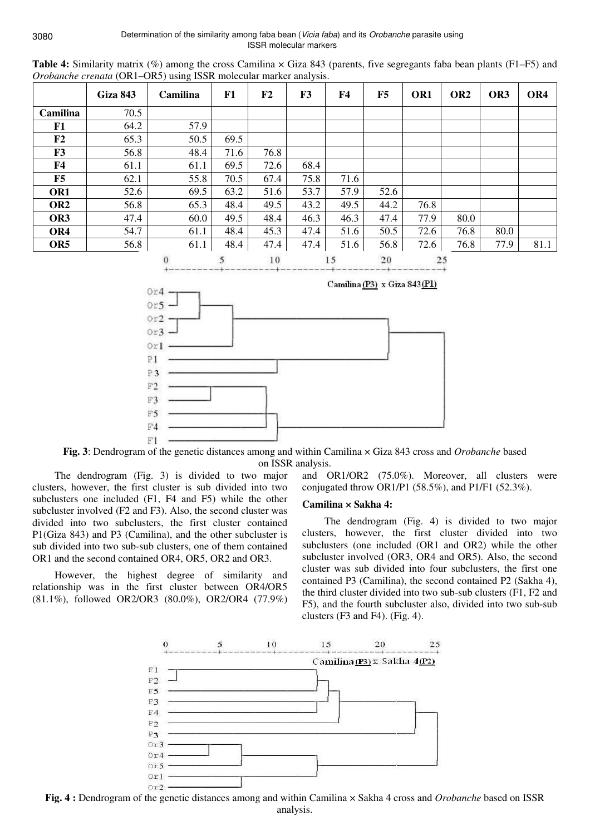Determination of the similarity among faba bean (Vicia faba) and its Orobanche parasite using ISSR molecular markers

|                 | <b>Giza 843</b> | Camilina | F1   | F <sub>2</sub> | F <sub>3</sub> | <b>F4</b> | F5   | OR <sub>1</sub> | OR <sub>2</sub> | OR <sub>3</sub> | OR4  |
|-----------------|-----------------|----------|------|----------------|----------------|-----------|------|-----------------|-----------------|-----------------|------|
| Camilina        | 70.5            |          |      |                |                |           |      |                 |                 |                 |      |
| F1              | 64.2            | 57.9     |      |                |                |           |      |                 |                 |                 |      |
| F <sub>2</sub>  | 65.3            | 50.5     | 69.5 |                |                |           |      |                 |                 |                 |      |
| F3              | 56.8            | 48.4     | 71.6 | 76.8           |                |           |      |                 |                 |                 |      |
| <b>F4</b>       | 61.1            | 61.1     | 69.5 | 72.6           | 68.4           |           |      |                 |                 |                 |      |
| F5              | 62.1            | 55.8     | 70.5 | 67.4           | 75.8           | 71.6      |      |                 |                 |                 |      |
| OR1             | 52.6            | 69.5     | 63.2 | 51.6           | 53.7           | 57.9      | 52.6 |                 |                 |                 |      |
| OR <sub>2</sub> | 56.8            | 65.3     | 48.4 | 49.5           | 43.2           | 49.5      | 44.2 | 76.8            |                 |                 |      |
| OR3             | 47.4            | 60.0     | 49.5 | 48.4           | 46.3           | 46.3      | 47.4 | 77.9            | 80.0            |                 |      |
| OR4             | 54.7            | 61.1     | 48.4 | 45.3           | 47.4           | 51.6      | 50.5 | 72.6            | 76.8            | 80.0            |      |
| OR <sub>5</sub> | 56.8            | 61.1     | 48.4 | 47.4           | 47.4           | 51.6      | 56.8 | 72.6            | 76.8            | 77.9            | 81.1 |
|                 |                 | $\Omega$ | 5.   | 1 <sub>0</sub> |                | 15        | 20   |                 | 25              |                 |      |

**Table 4:** Similarity matrix (%) among the cross Camilina × Giza 843 (parents, five segregants faba bean plants (F1–F5) and *Orobanche crenata* (OR1–OR5) using ISSR molecular marker analysis.







The dendrogram (Fig. 3) is divided to two major clusters, however, the first cluster is sub divided into two subclusters one included (F1, F4 and F5) while the other subcluster involved (F2 and F3). Also, the second cluster was divided into two subclusters, the first cluster contained P1(Giza 843) and P3 (Camilina), and the other subcluster is sub divided into two sub-sub clusters, one of them contained OR1 and the second contained OR4, OR5, OR2 and OR3.

However, the highest degree of similarity and relationship was in the first cluster between OR4/OR5 (81.1%), followed OR2/OR3 (80.0%), OR2/OR4 (77.9%)

and OR1/OR2 (75.0%). Moreover, all clusters were conjugated throw OR1/P1 (58.5%), and P1/F1 (52.3%).

# **Camilina × Sakha 4:**

The dendrogram (Fig. 4) is divided to two major clusters, however, the first cluster divided into two subclusters (one included (OR1 and OR2) while the other subcluster involved (OR3, OR4 and OR5). Also, the second cluster was sub divided into four subclusters, the first one contained P3 (Camilina), the second contained P2 (Sakha 4), the third cluster divided into two sub-sub clusters (F1, F2 and F5), and the fourth subcluster also, divided into two sub-sub clusters (F3 and F4). (Fig. 4).



**Fig. 4 :** Dendrogram of the genetic distances among and within Camilina × Sakha 4 cross and *Orobanche* based on ISSR analysis.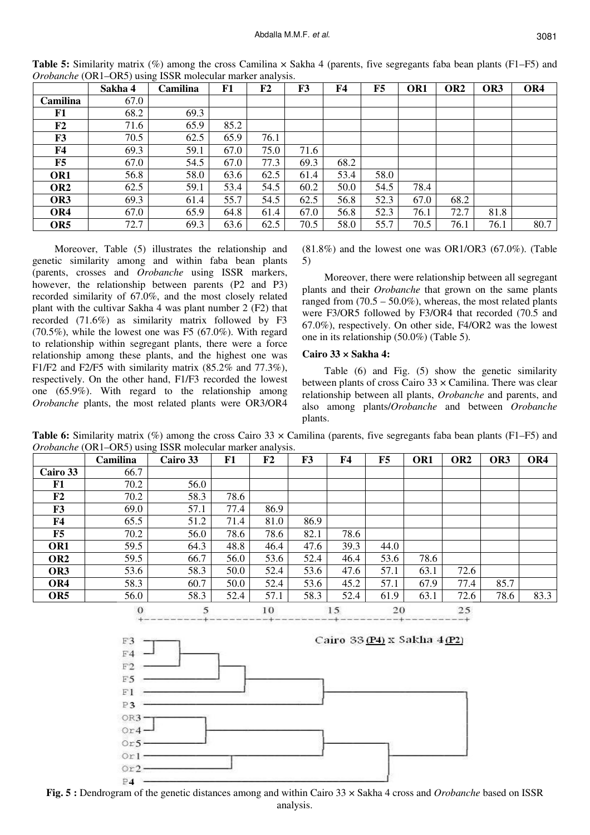|                 | Sakha 4 | ັ<br>Camilina | F1   | F <sub>2</sub> | F <sub>3</sub> | F4   | F5   | OR <sub>1</sub> | OR <sub>2</sub> | OR <sub>3</sub> | OR4  |
|-----------------|---------|---------------|------|----------------|----------------|------|------|-----------------|-----------------|-----------------|------|
| Camilina        | 67.0    |               |      |                |                |      |      |                 |                 |                 |      |
| F1              | 68.2    | 69.3          |      |                |                |      |      |                 |                 |                 |      |
| F <sub>2</sub>  | 71.6    | 65.9          | 85.2 |                |                |      |      |                 |                 |                 |      |
| F3              | 70.5    | 62.5          | 65.9 | 76.1           |                |      |      |                 |                 |                 |      |
| F <sub>4</sub>  | 69.3    | 59.1          | 67.0 | 75.0           | 71.6           |      |      |                 |                 |                 |      |
| F5              | 67.0    | 54.5          | 67.0 | 77.3           | 69.3           | 68.2 |      |                 |                 |                 |      |
| OR1             | 56.8    | 58.0          | 63.6 | 62.5           | 61.4           | 53.4 | 58.0 |                 |                 |                 |      |
| OR <sub>2</sub> | 62.5    | 59.1          | 53.4 | 54.5           | 60.2           | 50.0 | 54.5 | 78.4            |                 |                 |      |
| OR3             | 69.3    | 61.4          | 55.7 | 54.5           | 62.5           | 56.8 | 52.3 | 67.0            | 68.2            |                 |      |
| OR4             | 67.0    | 65.9          | 64.8 | 61.4           | 67.0           | 56.8 | 52.3 | 76.1            | 72.7            | 81.8            |      |
| OR <sub>5</sub> | 72.7    | 69.3          | 63.6 | 62.5           | 70.5           | 58.0 | 55.7 | 70.5            | 76.1            | 76.1            | 80.7 |

**Table 5:** Similarity matrix (%) among the cross Camilina × Sakha 4 (parents, five segregants faba bean plants (F1–F5) and *Orobanche* (OR1–OR5) using ISSR molecular marker analysis.

Moreover, Table (5) illustrates the relationship and genetic similarity among and within faba bean plants (parents, crosses and *Orobanche* using ISSR markers, however, the relationship between parents (P2 and P3) recorded similarity of 67.0%, and the most closely related plant with the cultivar Sakha 4 was plant number 2 (F2) that recorded (71.6%) as similarity matrix followed by F3  $(70.5\%)$ , while the lowest one was F5  $(67.0\%)$ . With regard to relationship within segregant plants, there were a force relationship among these plants, and the highest one was F1/F2 and F2/F5 with similarity matrix (85.2% and 77.3%), respectively. On the other hand, F1/F3 recorded the lowest one (65.9%). With regard to the relationship among *Orobanche* plants, the most related plants were OR3/OR4

(81.8%) and the lowest one was OR1/OR3 (67.0%). (Table 5)

Moreover, there were relationship between all segregant plants and their *Orobanche* that grown on the same plants ranged from  $(70.5 - 50.0\%)$ , whereas, the most related plants were F3/OR5 followed by F3/OR4 that recorded (70.5 and 67.0%), respectively. On other side, F4/OR2 was the lowest one in its relationship (50.0%) (Table 5).

## **Cairo 33 × Sakha 4:**

Table (6) and Fig. (5) show the genetic similarity between plants of cross Cairo  $33 \times$  Camilina. There was clear relationship between all plants, *Orobanche* and parents, and also among plants/*Orobanche* and between *Orobanche* plants.

**Table 6:** Similarity matrix (%) among the cross Cairo 33 x Camilina (parents, five segregants faba bean plants (F1–F5) and *Orobanche* (OR1–OR5) using ISSR molecular marker analysis.

|                 | Camilina | Cairo 33 | F1   | F <sub>2</sub> | F3   | F4   | F5   | OR <sub>1</sub> | OR <sub>2</sub> | OR <sub>3</sub> | OR4  |
|-----------------|----------|----------|------|----------------|------|------|------|-----------------|-----------------|-----------------|------|
| Cairo 33        | 66.7     |          |      |                |      |      |      |                 |                 |                 |      |
| F1              | 70.2     | 56.0     |      |                |      |      |      |                 |                 |                 |      |
| $\bf{F2}$       | 70.2     | 58.3     | 78.6 |                |      |      |      |                 |                 |                 |      |
| F <sub>3</sub>  | 69.0     | 57.1     | 77.4 | 86.9           |      |      |      |                 |                 |                 |      |
| F4              | 65.5     | 51.2     | 71.4 | 81.0           | 86.9 |      |      |                 |                 |                 |      |
| F5              | 70.2     | 56.0     | 78.6 | 78.6           | 82.1 | 78.6 |      |                 |                 |                 |      |
| OR1             | 59.5     | 64.3     | 48.8 | 46.4           | 47.6 | 39.3 | 44.0 |                 |                 |                 |      |
| OR <sub>2</sub> | 59.5     | 66.7     | 56.0 | 53.6           | 52.4 | 46.4 | 53.6 | 78.6            |                 |                 |      |
| OR3             | 53.6     | 58.3     | 50.0 | 52.4           | 53.6 | 47.6 | 57.1 | 63.1            | 72.6            |                 |      |
| OR4             | 58.3     | 60.7     | 50.0 | 52.4           | 53.6 | 45.2 | 57.1 | 67.9            | 77.4            | 85.7            |      |
| OR <sub>5</sub> | 56.0     | 58.3     | 52.4 | 57.1           | 58.3 | 52.4 | 61.9 | 63.1            | 72.6            | 78.6            | 83.3 |
|                 |          |          |      |                |      |      |      |                 |                 |                 |      |





**Fig. 5 :** Dendrogram of the genetic distances among and within Cairo 33 × Sakha 4 cross and *Orobanche* based on ISSR analysis.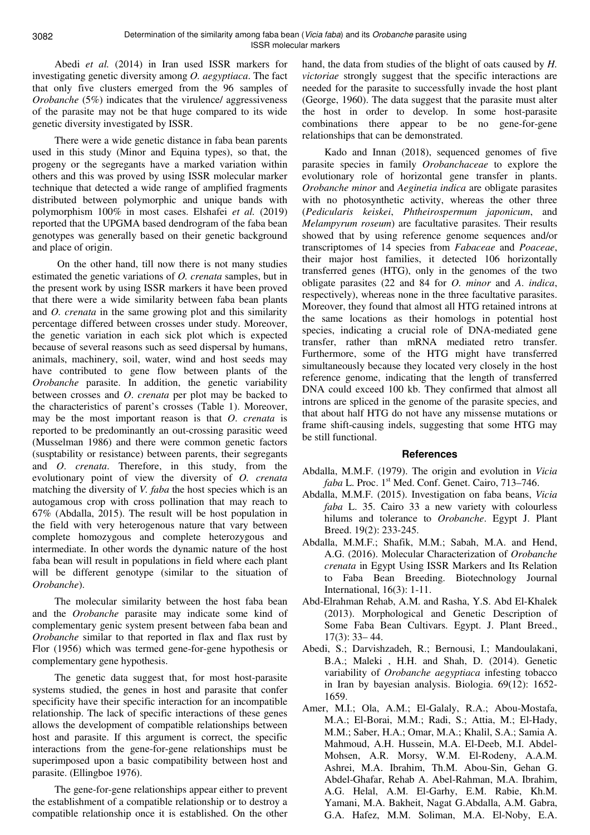Abedi *et al.* (2014) in Iran used ISSR markers for investigating genetic diversity among *O. aegyptiaca*. The fact that only five clusters emerged from the 96 samples of *Orobanche* (5%) indicates that the virulence/ aggressiveness of the parasite may not be that huge compared to its wide genetic diversity investigated by ISSR.

There were a wide genetic distance in faba bean parents used in this study (Minor and Equina types), so that, the progeny or the segregants have a marked variation within others and this was proved by using ISSR molecular marker technique that detected a wide range of amplified fragments distributed between polymorphic and unique bands with polymorphism 100% in most cases. Elshafei *et al.* (2019) reported that the UPGMA based dendrogram of the faba bean genotypes was generally based on their genetic background and place of origin.

 On the other hand, till now there is not many studies estimated the genetic variations of *O. crenata* samples, but in the present work by using ISSR markers it have been proved that there were a wide similarity between faba bean plants and *O. crenata* in the same growing plot and this similarity percentage differed between crosses under study. Moreover, the genetic variation in each sick plot which is expected because of several reasons such as seed dispersal by humans, animals, machinery, soil, water, wind and host seeds may have contributed to gene flow between plants of the *Orobanche* parasite. In addition, the genetic variability between crosses and *O*. *crenata* per plot may be backed to the characteristics of parent's crosses (Table 1). Moreover, may be the most important reason is that *O*. *crenata* is reported to be predominantly an out-crossing parasitic weed (Musselman 1986) and there were common genetic factors (susptability or resistance) between parents, their segregants and *O*. *crenata*. Therefore, in this study, from the evolutionary point of view the diversity of *O. crenata* matching the diversity of *V. faba* the host species which is an autogamous crop with cross pollination that may reach to 67% (Abdalla, 2015). The result will be host population in the field with very heterogenous nature that vary between complete homozygous and complete heterozygous and intermediate. In other words the dynamic nature of the host faba bean will result in populations in field where each plant will be different genotype (similar to the situation of *Orobanche*).

The molecular similarity between the host faba bean and the *Orobanche* parasite may indicate some kind of complementary genic system present between faba bean and *Orobanche* similar to that reported in flax and flax rust by Flor (1956) which was termed gene-for-gene hypothesis or complementary gene hypothesis.

The genetic data suggest that, for most host-parasite systems studied, the genes in host and parasite that confer specificity have their specific interaction for an incompatible relationship. The lack of specific interactions of these genes allows the development of compatible relationships between host and parasite. If this argument is correct, the specific interactions from the gene-for-gene relationships must be superimposed upon a basic compatibility between host and parasite. (Ellingboe 1976).

The gene-for-gene relationships appear either to prevent the establishment of a compatible relationship or to destroy a compatible relationship once it is established. On the other hand, the data from studies of the blight of oats caused by *H. victoriae* strongly suggest that the specific interactions are needed for the parasite to successfully invade the host plant (George, 1960). The data suggest that the parasite must alter the host in order to develop. In some host-parasite combinations there appear to be no gene-for-gene relationships that can be demonstrated.

Kado and Innan (2018), sequenced genomes of five parasite species in family *Orobanchaceae* to explore the evolutionary role of horizontal gene transfer in plants. *Orobanche minor* and *Aeginetia indica* are obligate parasites with no photosynthetic activity, whereas the other three (*Pedicularis keiskei*, *Phtheirospermum japonicum*, and *Melampyrum roseum*) are facultative parasites. Their results showed that by using reference genome sequences and/or transcriptomes of 14 species from *Fabaceae* and *Poaceae*, their major host families, it detected 106 horizontally transferred genes (HTG), only in the genomes of the two obligate parasites (22 and 84 for *O. minor* and *A*. *indica*, respectively), whereas none in the three facultative parasites. Moreover, they found that almost all HTG retained introns at the same locations as their homologs in potential host species, indicating a crucial role of DNA-mediated gene transfer, rather than mRNA mediated retro transfer. Furthermore, some of the HTG might have transferred simultaneously because they located very closely in the host reference genome, indicating that the length of transferred DNA could exceed 100 kb. They confirmed that almost all introns are spliced in the genome of the parasite species, and that about half HTG do not have any missense mutations or frame shift-causing indels, suggesting that some HTG may be still functional.

# **References**

- Abdalla, M.M.F. (1979). The origin and evolution in *Vicia faba* L. Proc. 1<sup>st</sup> Med. Conf. Genet. Cairo, 713–746.
- Abdalla, M.M.F. (2015). Investigation on faba beans, *Vicia faba* L. 35. Cairo 33 a new variety with colourless hilums and tolerance to *Orobanche*. Egypt J. Plant Breed. 19(2): 233-245.
- Abdalla, M.M.F.; Shafik, M.M.; Sabah, M.A. and Hend, A.G. (2016). Molecular Characterization of *Orobanche crenata* in Egypt Using ISSR Markers and Its Relation to Faba Bean Breeding. Biotechnology Journal International, 16(3): 1-11.
- Abd-Elrahman Rehab, A.M. and Rasha, Y.S. Abd El-Khalek (2013). Morphological and Genetic Description of Some Faba Bean Cultivars. Egypt. J. Plant Breed., 17(3): 33– 44.
- Abedi, S.; Darvishzadeh, R.; Bernousi, I.; Mandoulakani, B.A.; Maleki , H.H. and Shah, D. (2014). Genetic variability of *Orobanche aegyptiaca* infesting tobacco in Iran by bayesian analysis. Biologia. 69(12): 1652- 1659.
- Amer, M.I.; Ola, A.M.; El-Galaly, R.A.; Abou-Mostafa, M.A.; El-Borai, M.M.; Radi, S.; Attia, M.; El-Hady, M.M.; Saber, H.A.; Omar, M.A.; Khalil, S.A.; Samia A. Mahmoud, A.H. Hussein, M.A. El-Deeb, M.I. Abdel-Mohsen, A.R. Morsy, W.M. El-Rodeny, A.A.M. Ashrei, M.A. Ibrahim, Th.M. Abou-Sin, Gehan G. Abdel-Ghafar, Rehab A. Abel-Rahman, M.A. Ibrahim, A.G. Helal, A.M. El-Garhy, E.M. Rabie, Kh.M. Yamani, M.A. Bakheit, Nagat G.Abdalla, A.M. Gabra, G.A. Hafez, M.M. Soliman, M.A. El-Noby, E.A.